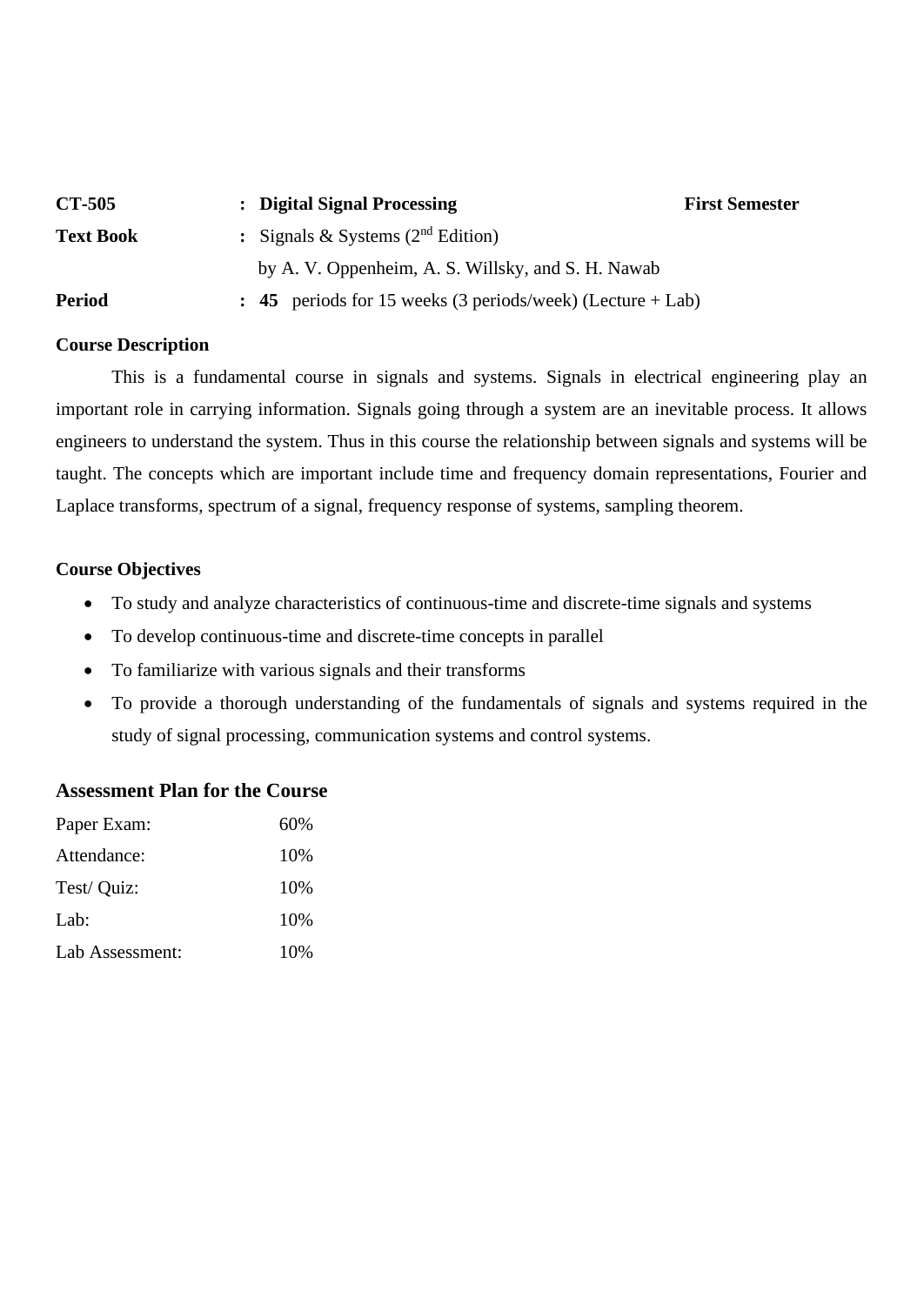| <b>CT-505</b>    | : Digital Signal Processing                                           | <b>First Semester</b> |
|------------------|-----------------------------------------------------------------------|-----------------------|
| <b>Text Book</b> | : Signals & Systems $(2^{nd}$ Edition)                                |                       |
|                  | by A. V. Oppenheim, A. S. Willsky, and S. H. Nawab                    |                       |
| <b>Period</b>    | $\therefore$ 45 periods for 15 weeks (3 periods/week) (Lecture + Lab) |                       |

## **Course Description**

This is a fundamental course in signals and systems. Signals in electrical engineering play an important role in carrying information. Signals going through a system are an inevitable process. It allows engineers to understand the system. Thus in this course the relationship between signals and systems will be taught. The concepts which are important include time and frequency domain representations, Fourier and Laplace transforms, spectrum of a signal, frequency response of systems, sampling theorem.

## **Course Objectives**

- To study and analyze characteristics of continuous-time and discrete-time signals and systems
- To develop continuous-time and discrete-time concepts in parallel
- To familiarize with various signals and their transforms
- To provide a thorough understanding of the fundamentals of signals and systems required in the study of signal processing, communication systems and control systems.

## **Assessment Plan for the Course**

| Paper Exam:     | 60% |
|-----------------|-----|
| Attendance:     | 10% |
| Test/ Quiz:     | 10% |
| Lab:            | 10% |
| Lab Assessment: | 10% |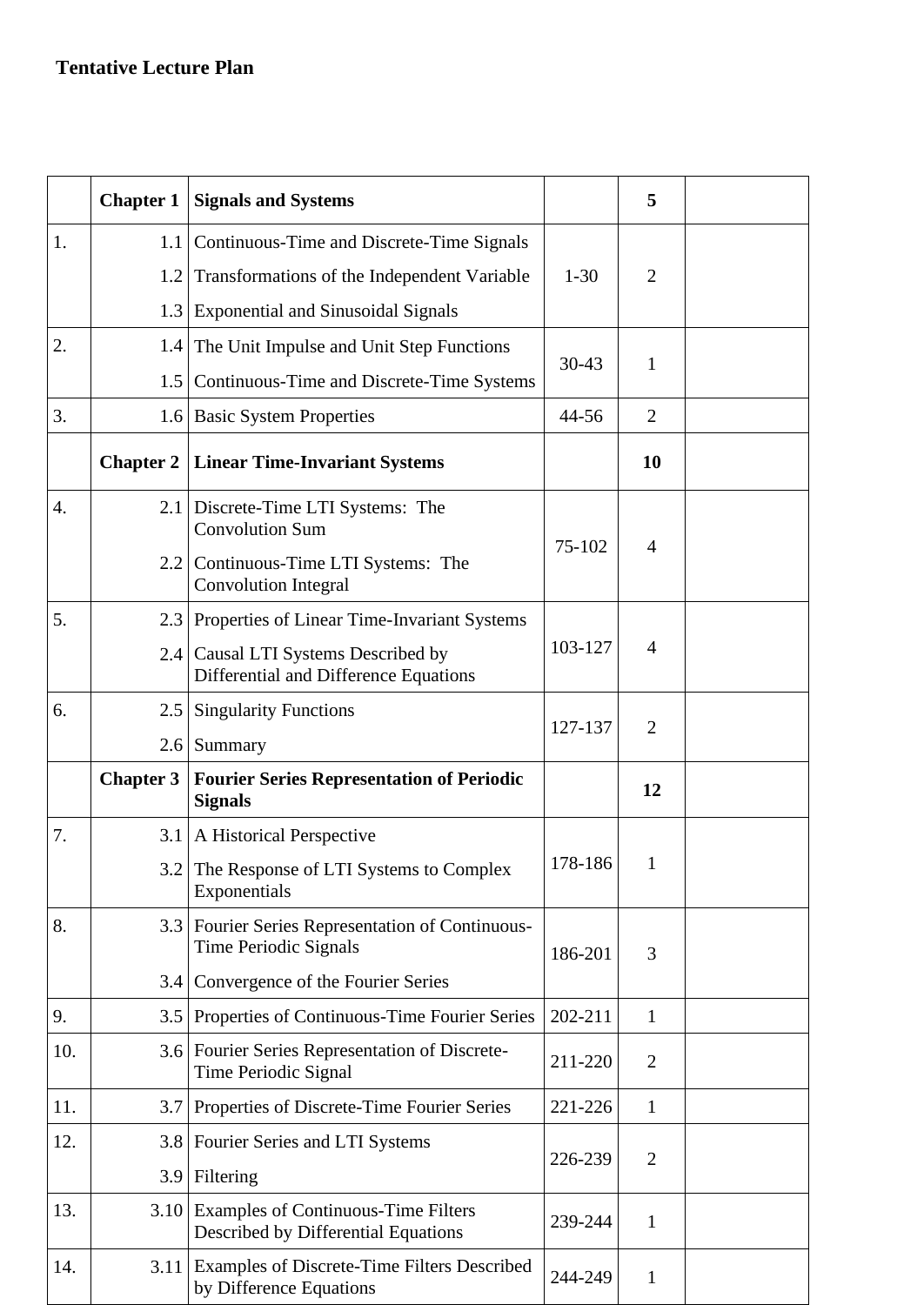## **Tentative Lecture Plan**

|                  | <b>Chapter 1</b> | <b>Signals and Systems</b>                                                      |              | 5              |  |
|------------------|------------------|---------------------------------------------------------------------------------|--------------|----------------|--|
| 1.               | 1.1              | Continuous-Time and Discrete-Time Signals                                       |              |                |  |
|                  | 1.2              | Transformations of the Independent Variable                                     | $1 - 30$     | $\overline{2}$ |  |
|                  | 1.3              | <b>Exponential and Sinusoidal Signals</b>                                       |              |                |  |
| 2.               | 1.4              | The Unit Impulse and Unit Step Functions                                        |              | $\mathbf{1}$   |  |
|                  | 1.5              | Continuous-Time and Discrete-Time Systems                                       | $30 - 43$    |                |  |
| 3.               |                  | 1.6 Basic System Properties                                                     | 44-56        | $\overline{2}$ |  |
|                  | <b>Chapter 2</b> | <b>Linear Time-Invariant Systems</b>                                            |              | 10             |  |
| $\overline{4}$ . | 2.1              | Discrete-Time LTI Systems: The<br><b>Convolution Sum</b>                        | 75-102       | $\overline{4}$ |  |
|                  |                  | 2.2 Continuous-Time LTI Systems: The<br><b>Convolution Integral</b>             |              |                |  |
| 5.               |                  | 2.3 Properties of Linear Time-Invariant Systems                                 | 103-127      | $\overline{4}$ |  |
|                  |                  | 2.4 Causal LTI Systems Described by<br>Differential and Difference Equations    |              |                |  |
| 6.               | $2.5\,$          | <b>Singularity Functions</b>                                                    | 127-137      | $\overline{2}$ |  |
|                  |                  | $2.6$ Summary                                                                   |              |                |  |
|                  | <b>Chapter 3</b> | <b>Fourier Series Representation of Periodic</b><br><b>Signals</b>              |              | 12             |  |
| 7.               | 3.1              | A Historical Perspective                                                        |              |                |  |
|                  |                  | 3.2 The Response of LTI Systems to Complex<br>Exponentials                      | 178-186      | 1              |  |
| 8.               |                  | 3.3 Fourier Series Representation of Continuous-<br>Time Periodic Signals       | 3<br>186-201 |                |  |
|                  | 3.4              | Convergence of the Fourier Series                                               |              |                |  |
| 9.               | 3.5              | Properties of Continuous-Time Fourier Series                                    | 202-211      | $\mathbf{1}$   |  |
| 10.              |                  | 3.6 Fourier Series Representation of Discrete-<br>Time Periodic Signal          | 211-220      | $\overline{2}$ |  |
| 11.              | 3.7              | Properties of Discrete-Time Fourier Series                                      | 221-226      | $\mathbf{1}$   |  |
| 12.              | 3.8              | Fourier Series and LTI Systems                                                  | 226-239      | $\overline{2}$ |  |
|                  | 3.9              | Filtering                                                                       |              |                |  |
| 13.              |                  | 3.10 Examples of Continuous-Time Filters<br>Described by Differential Equations | 239-244      | $\mathbf{1}$   |  |
| 14.              |                  | 3.11 Examples of Discrete-Time Filters Described<br>by Difference Equations     | 244-249      | $\mathbf{1}$   |  |